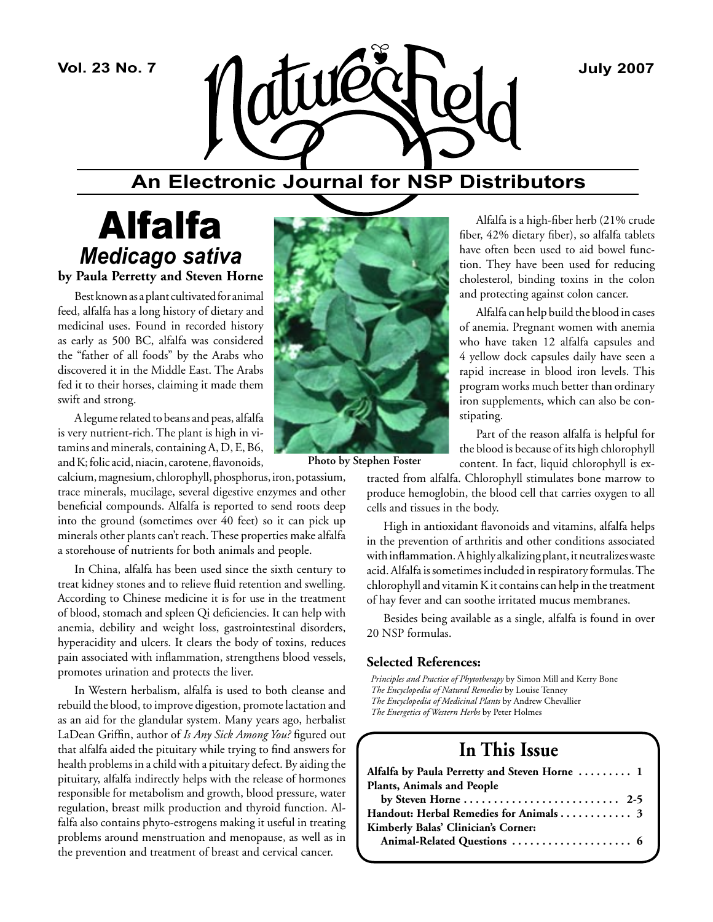

## **An Electronic Journal for NSP Distributors**

## Alfalfa *Medicago sativa* **by Paula Perretty and Steven Horne**

Best known as a plant cultivated for animal feed, alfalfa has a long history of dietary and medicinal uses. Found in recorded history as early as 500 BC, alfalfa was considered the "father of all foods" by the Arabs who discovered it in the Middle East. The Arabs fed it to their horses, claiming it made them swift and strong.

A legume related to beans and peas, alfalfa is very nutrient-rich. The plant is high in vitamins and minerals, containing A, D, E, B6, and K; folic acid, niacin, carotene, flavonoids,

calcium, magnesium, chlorophyll, phosphorus, iron, potassium, trace minerals, mucilage, several digestive enzymes and other beneficial compounds. Alfalfa is reported to send roots deep into the ground (sometimes over 40 feet) so it can pick up minerals other plants can't reach. These properties make alfalfa a storehouse of nutrients for both animals and people.

In China, alfalfa has been used since the sixth century to treat kidney stones and to relieve fluid retention and swelling. According to Chinese medicine it is for use in the treatment of blood, stomach and spleen Qi deficiencies. It can help with anemia, debility and weight loss, gastrointestinal disorders, hyperacidity and ulcers. It clears the body of toxins, reduces pain associated with inflammation, strengthens blood vessels, promotes urination and protects the liver.

In Western herbalism, alfalfa is used to both cleanse and rebuild the blood, to improve digestion, promote lactation and as an aid for the glandular system. Many years ago, herbalist LaDean Griffin, author of *Is Any Sick Among You?* figured out that alfalfa aided the pituitary while trying to find answers for health problems in a child with a pituitary defect. By aiding the pituitary, alfalfa indirectly helps with the release of hormones responsible for metabolism and growth, blood pressure, water regulation, breast milk production and thyroid function. Alfalfa also contains phyto-estrogens making it useful in treating problems around menstruation and menopause, as well as in the prevention and treatment of breast and cervical cancer.



**Photo by Stephen Foster**

Alfalfa is a high-fiber herb (21% crude fiber, 42% dietary fiber), so alfalfa tablets have often been used to aid bowel function. They have been used for reducing cholesterol, binding toxins in the colon and protecting against colon cancer.

Alfalfa can help build the blood in cases of anemia. Pregnant women with anemia who have taken 12 alfalfa capsules and 4 yellow dock capsules daily have seen a rapid increase in blood iron levels. This program works much better than ordinary iron supplements, which can also be constipating.

Part of the reason alfalfa is helpful for the blood is because of its high chlorophyll

content. In fact, liquid chlorophyll is extracted from alfalfa. Chlorophyll stimulates bone marrow to produce hemoglobin, the blood cell that carries oxygen to all cells and tissues in the body.

High in antioxidant flavonoids and vitamins, alfalfa helps in the prevention of arthritis and other conditions associated with inflammation. A highly alkalizing plant, it neutralizes waste acid. Alfalfa is sometimes included in respiratory formulas. The chlorophyll and vitamin K it contains can help in the treatment of hay fever and can soothe irritated mucus membranes.

Besides being available as a single, alfalfa is found in over 20 NSP formulas.

#### **Selected References:**

*Principles and Practice of Phytotherapy* by Simon Mill and Kerry Bone *The Encyclopedia of Natural Remedies* by Louise Tenney *The Encyclopedia of Medicinal Plants* by Andrew Chevallier *The Energetics of Western Herbs* by Peter Holmes

## **In This Issue**

| Alfalfa by Paula Perretty and Steven Horne  1                         |
|-----------------------------------------------------------------------|
| <b>Plants, Animals and People</b>                                     |
| by Steven Horne $\dots \dots \dots \dots \dots \dots \dots \dots$ 2-5 |
| Handout: Herbal Remedies for Animals 3                                |
| Kimberly Balas' Clinician's Corner:                                   |
| Animal-Related Questions  6                                           |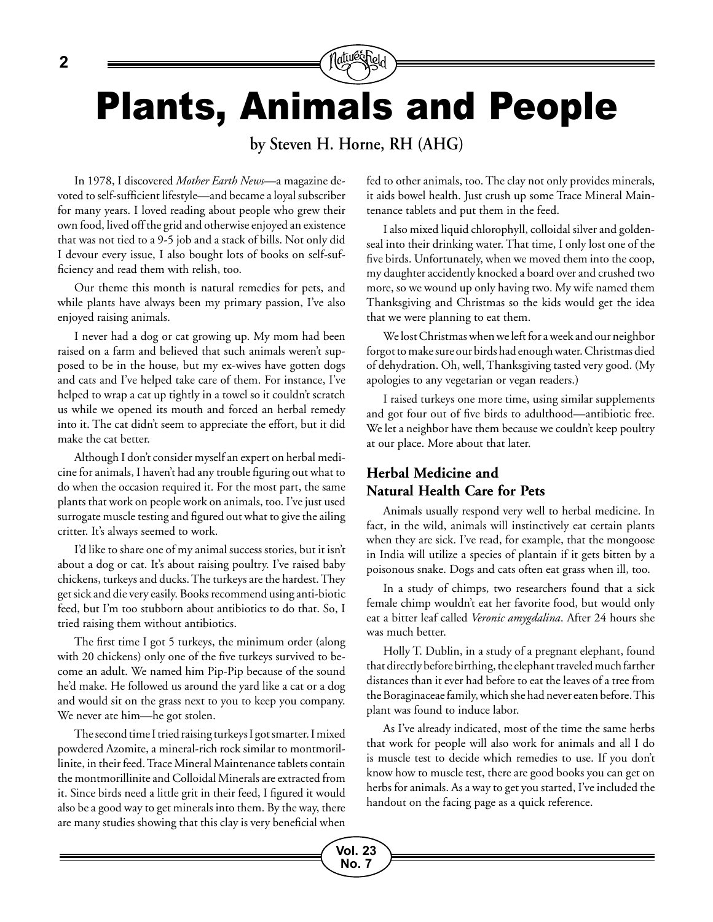Plants, Animals and People

**by Steven H. Horne, RH (AHG)**

**Vol. 23 No. 7**

In 1978, I discovered *Mother Earth News*—a magazine devoted to self-sufficient lifestyle—and became a loyal subscriber for many years. I loved reading about people who grew their own food, lived off the grid and otherwise enjoyed an existence that was not tied to a 9-5 job and a stack of bills. Not only did I devour every issue, I also bought lots of books on self-sufficiency and read them with relish, too.

Our theme this month is natural remedies for pets, and while plants have always been my primary passion, I've also enjoyed raising animals.

I never had a dog or cat growing up. My mom had been raised on a farm and believed that such animals weren't supposed to be in the house, but my ex-wives have gotten dogs and cats and I've helped take care of them. For instance, I've helped to wrap a cat up tightly in a towel so it couldn't scratch us while we opened its mouth and forced an herbal remedy into it. The cat didn't seem to appreciate the effort, but it did make the cat better.

Although I don't consider myself an expert on herbal medicine for animals, I haven't had any trouble figuring out what to do when the occasion required it. For the most part, the same plants that work on people work on animals, too. I've just used surrogate muscle testing and figured out what to give the ailing critter. It's always seemed to work.

I'd like to share one of my animal success stories, but it isn't about a dog or cat. It's about raising poultry. I've raised baby chickens, turkeys and ducks. The turkeys are the hardest. They get sick and die very easily. Books recommend using anti-biotic feed, but I'm too stubborn about antibiotics to do that. So, I tried raising them without antibiotics.

The first time I got 5 turkeys, the minimum order (along with 20 chickens) only one of the five turkeys survived to become an adult. We named him Pip-Pip because of the sound he'd make. He followed us around the yard like a cat or a dog and would sit on the grass next to you to keep you company. We never ate him—he got stolen.

The second time I tried raising turkeys I got smarter. I mixed powdered Azomite, a mineral-rich rock similar to montmorillinite, in their feed. Trace Mineral Maintenance tablets contain the montmorillinite and Colloidal Minerals are extracted from it. Since birds need a little grit in their feed, I figured it would also be a good way to get minerals into them. By the way, there are many studies showing that this clay is very beneficial when fed to other animals, too. The clay not only provides minerals, it aids bowel health. Just crush up some Trace Mineral Maintenance tablets and put them in the feed.

I also mixed liquid chlorophyll, colloidal silver and goldenseal into their drinking water. That time, I only lost one of the five birds. Unfortunately, when we moved them into the coop, my daughter accidently knocked a board over and crushed two more, so we wound up only having two. My wife named them Thanksgiving and Christmas so the kids would get the idea that we were planning to eat them.

We lost Christmas when we left for a week and our neighbor forgot to make sure our birds had enough water. Christmas died of dehydration. Oh, well, Thanksgiving tasted very good. (My apologies to any vegetarian or vegan readers.)

I raised turkeys one more time, using similar supplements and got four out of five birds to adulthood—antibiotic free. We let a neighbor have them because we couldn't keep poultry at our place. More about that later.

#### **Herbal Medicine and Natural Health Care for Pets**

Animals usually respond very well to herbal medicine. In fact, in the wild, animals will instinctively eat certain plants when they are sick. I've read, for example, that the mongoose in India will utilize a species of plantain if it gets bitten by a poisonous snake. Dogs and cats often eat grass when ill, too.

In a study of chimps, two researchers found that a sick female chimp wouldn't eat her favorite food, but would only eat a bitter leaf called *Veronic amygdalina*. After 24 hours she was much better.

Holly T. Dublin, in a study of a pregnant elephant, found that directly before birthing, the elephant traveled much farther distances than it ever had before to eat the leaves of a tree from the Boraginaceae family, which she had never eaten before. This plant was found to induce labor.

As I've already indicated, most of the time the same herbs that work for people will also work for animals and all I do is muscle test to decide which remedies to use. If you don't know how to muscle test, there are good books you can get on herbs for animals. As a way to get you started, I've included the handout on the facing page as a quick reference.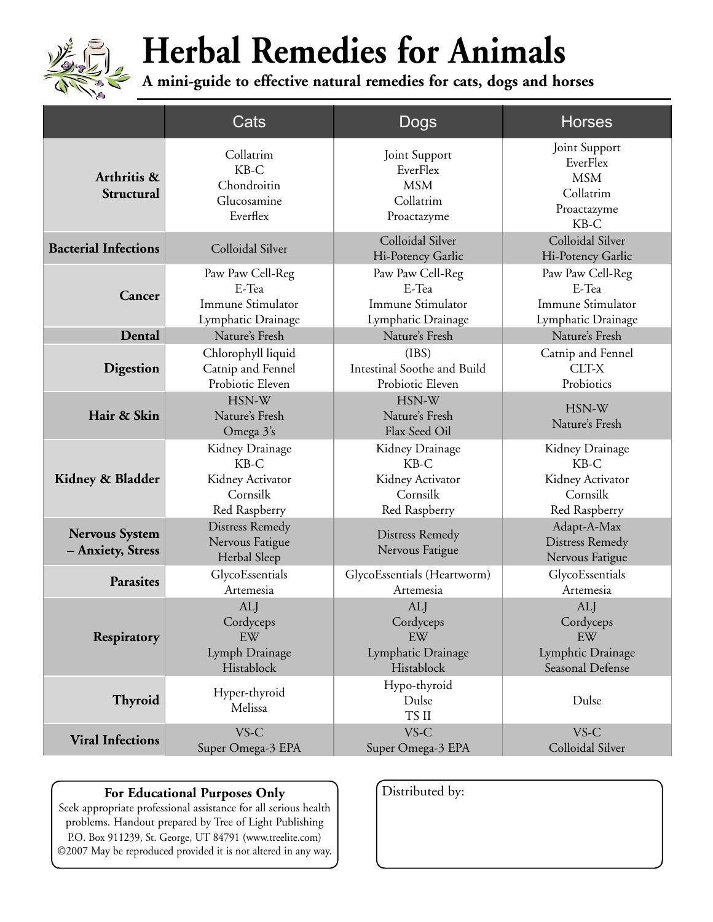

# **Herbal Remedies for Animals**

**A mini-guide to effective natural remedies for cats, dogs and horses** 

|                                            | Cats                                                                       | Dogs                                                                       | <b>Horses</b>                                                                 |
|--------------------------------------------|----------------------------------------------------------------------------|----------------------------------------------------------------------------|-------------------------------------------------------------------------------|
| Arthritis &<br>Structural                  | Collatrim<br>KB-C<br>Chondroitin<br>Glucosamine<br>Everflex                | Joint Support<br>EverFlex<br><b>MSM</b><br>Collatrim<br>Proactazyme        | Joint Support<br>EverFlex<br><b>MSM</b><br>Collatrim<br>Proactazyme<br>$KB-C$ |
| <b>Bacterial Infections</b>                | Colloidal Silver                                                           | Colloidal Silver<br>Hi-Potency Garlic                                      | Colloidal Silver<br>Hi-Potency Garlic                                         |
| Cancer                                     | Paw Paw Cell-Reg<br>E-Tea<br>Immune Stimulator<br>Lymphatic Drainage       | Paw Paw Cell-Reg<br>E-Tea<br>Immune Stimulator<br>Lymphatic Drainage       | Paw Paw Cell-Reg<br>E-Tea<br>Immune Stimulator<br>Lymphatic Drainage          |
| Dental                                     | Nature's Fresh                                                             | Nature's Fresh                                                             | Nature's Fresh                                                                |
| Digestion                                  | Chlorophyll liquid<br>Catnip and Fennel<br>Probiotic Eleven                | (IBS)<br>Intestinal Soothe and Build<br>Probiotic Eleven                   | Catnip and Fennel<br>CLT-X<br>Probiotics                                      |
| Hair & Skin                                | HSN-W<br>Nature's Fresh<br>Omega 3's                                       | HSN-W<br>Nature's Fresh<br>Flax Seed Oil                                   | HSN-W<br>Nature's Fresh                                                       |
| Kidney & Bladder                           | Kidney Drainage<br>$KB-C$<br>Kidney Activator<br>Cornsilk<br>Red Raspberry | Kidney Drainage<br>$KB-C$<br>Kidney Activator<br>Cornsilk<br>Red Raspberry | Kidney Drainage<br>$KB-C$<br>Kidney Activator<br>Cornsilk<br>Red Raspberry    |
| <b>Nervous System</b><br>- Anxiety, Stress | <b>Distress Remedy</b><br>Nervous Fatigue<br>Herbal Sleep                  | <b>Distress Remedy</b><br>Nervous Fatigue                                  | Adapt-A-Max<br><b>Distress Remedy</b><br>Nervous Fatigue                      |
| <b>Parasites</b>                           | GlycoEssentials<br>Artemesia                                               | GlycoEssentials (Heartworm)<br>Artemesia                                   | GlycoEssentials<br>Artemesia                                                  |
| Respiratory                                | <b>ALJ</b><br>Cordyceps<br>EW<br>Lymph Drainage<br>Histablock              | <b>ALJ</b><br>Cordyceps<br>EW<br>Lymphatic Drainage<br>Histablock          | <b>ALJ</b><br>Cordyceps<br>EW<br>Lymphtic Drainage<br>Seasonal Defense        |
| Thyroid                                    | Hyper-thyroid<br>Melissa                                                   | Hypo-thyroid<br>Dulse<br>TS II                                             | Dulse                                                                         |
| <b>Viral Infections</b>                    | VS-C<br>Super Omega-3 EPA                                                  | VS-C<br>Super Omega-3 EPA                                                  | VS-C<br>Colloidal Silver                                                      |

#### For Educational Purposes Only

Seek appropriate professional assistance for all serious health problems. Handout prepared by Tree of Light Publishing P.O. Box 911239, St. George, UT 84791 (www.treelite.com) ©2007 May be reproduced provided it is not altered in any way.

| Distributed by: |  |  |
|-----------------|--|--|
|                 |  |  |
|                 |  |  |
|                 |  |  |
|                 |  |  |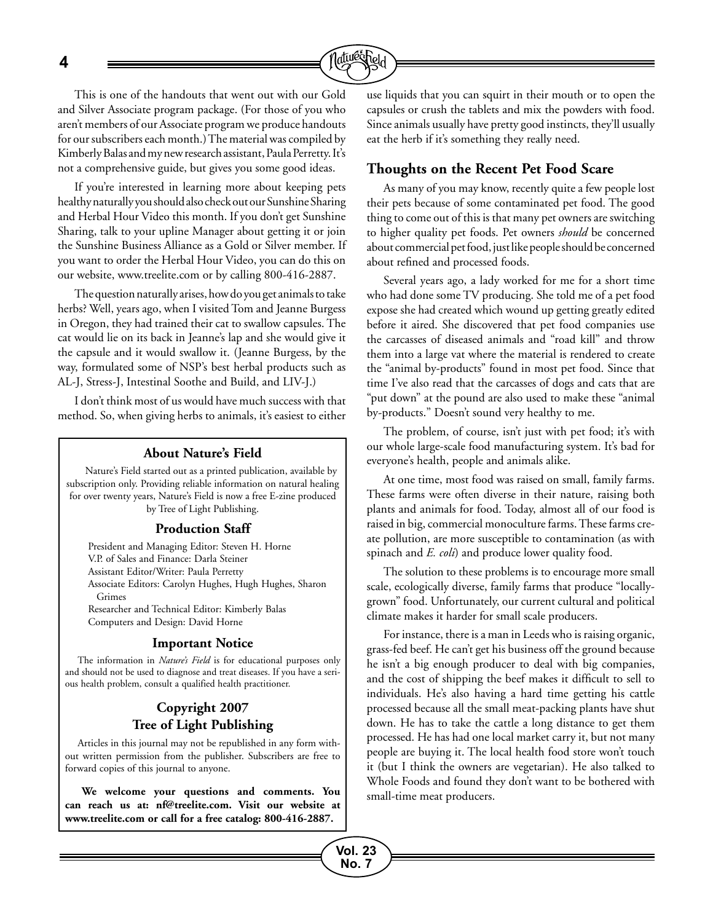**4**



This is one of the handouts that went out with our Gold and Silver Associate program package. (For those of you who aren't members of our Associate program we produce handouts for our subscribers each month.) The material was compiled by Kimberly Balas and my new research assistant, Paula Perretty. It's not a comprehensive guide, but gives you some good ideas.

If you're interested in learning more about keeping pets healthy naturally you should also check out our Sunshine Sharing and Herbal Hour Video this month. If you don't get Sunshine Sharing, talk to your upline Manager about getting it or join the Sunshine Business Alliance as a Gold or Silver member. If you want to order the Herbal Hour Video, you can do this on our website, www.treelite.com or by calling 800-416-2887.

The question naturally arises, how do you get animals to take herbs? Well, years ago, when I visited Tom and Jeanne Burgess in Oregon, they had trained their cat to swallow capsules. The cat would lie on its back in Jeanne's lap and she would give it the capsule and it would swallow it. (Jeanne Burgess, by the way, formulated some of NSP's best herbal products such as AL-J, Stress-J, Intestinal Soothe and Build, and LIV-J.)

I don't think most of us would have much success with that method. So, when giving herbs to animals, it's easiest to either

#### **About Nature's Field**

Nature's Field started out as a printed publication, available by subscription only. Providing reliable information on natural healing for over twenty years, Nature's Field is now a free E-zine produced by Tree of Light Publishing.

#### **Production Staff**

President and Managing Editor: Steven H. Horne V.P. of Sales and Finance: Darla Steiner Assistant Editor/Writer: Paula Perretty Associate Editors: Carolyn Hughes, Hugh Hughes, Sharon Grimes Researcher and Technical Editor: Kimberly Balas Computers and Design: David Horne

#### **Important Notice**

The information in *Nature's Field* is for educational purposes only and should not be used to diagnose and treat diseases. If you have a serious health problem, consult a qualified health practitioner.

#### **Copyright 2007 Tree of Light Publishing**

Articles in this journal may not be republished in any form without written permission from the publisher. Subscribers are free to forward copies of this journal to anyone.

**We welcome your questions and comments. You can reach us at: nf@treelite.com. Visit our website at www.treelite.com or call for a free catalog: 800-416-2887.**

use liquids that you can squirt in their mouth or to open the capsules or crush the tablets and mix the powders with food. Since animals usually have pretty good instincts, they'll usually eat the herb if it's something they really need.

#### **Thoughts on the Recent Pet Food Scare**

As many of you may know, recently quite a few people lost their pets because of some contaminated pet food. The good thing to come out of this is that many pet owners are switching to higher quality pet foods. Pet owners *should* be concerned about commercial pet food, just like people should be concerned about refined and processed foods.

Several years ago, a lady worked for me for a short time who had done some TV producing. She told me of a pet food expose she had created which wound up getting greatly edited before it aired. She discovered that pet food companies use the carcasses of diseased animals and "road kill" and throw them into a large vat where the material is rendered to create the "animal by-products" found in most pet food. Since that time I've also read that the carcasses of dogs and cats that are "put down" at the pound are also used to make these "animal by-products." Doesn't sound very healthy to me.

The problem, of course, isn't just with pet food; it's with our whole large-scale food manufacturing system. It's bad for everyone's health, people and animals alike.

At one time, most food was raised on small, family farms. These farms were often diverse in their nature, raising both plants and animals for food. Today, almost all of our food is raised in big, commercial monoculture farms. These farms create pollution, are more susceptible to contamination (as with spinach and *E. coli*) and produce lower quality food.

The solution to these problems is to encourage more small scale, ecologically diverse, family farms that produce "locallygrown" food. Unfortunately, our current cultural and political climate makes it harder for small scale producers.

For instance, there is a man in Leeds who is raising organic, grass-fed beef. He can't get his business off the ground because he isn't a big enough producer to deal with big companies, and the cost of shipping the beef makes it difficult to sell to individuals. He's also having a hard time getting his cattle processed because all the small meat-packing plants have shut down. He has to take the cattle a long distance to get them processed. He has had one local market carry it, but not many people are buying it. The local health food store won't touch it (but I think the owners are vegetarian). He also talked to Whole Foods and found they don't want to be bothered with small-time meat producers.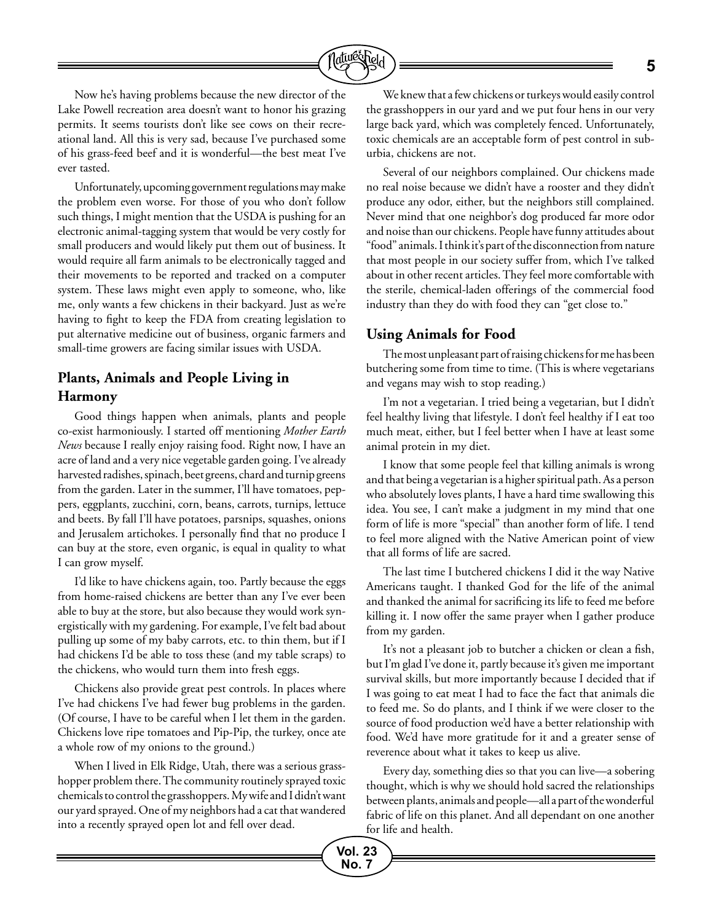

Now he's having problems because the new director of the Lake Powell recreation area doesn't want to honor his grazing permits. It seems tourists don't like see cows on their recreational land. All this is very sad, because I've purchased some of his grass-feed beef and it is wonderful—the best meat I've ever tasted.

Unfortunately, upcoming government regulations may make the problem even worse. For those of you who don't follow such things, I might mention that the USDA is pushing for an electronic animal-tagging system that would be very costly for small producers and would likely put them out of business. It would require all farm animals to be electronically tagged and their movements to be reported and tracked on a computer system. These laws might even apply to someone, who, like me, only wants a few chickens in their backyard. Just as we're having to fight to keep the FDA from creating legislation to put alternative medicine out of business, organic farmers and small-time growers are facing similar issues with USDA.

#### **Plants, Animals and People Living in Harmony**

Good things happen when animals, plants and people co-exist harmoniously. I started off mentioning *Mother Earth News* because I really enjoy raising food. Right now, I have an acre of land and a very nice vegetable garden going. I've already harvested radishes, spinach, beet greens, chard and turnip greens from the garden. Later in the summer, I'll have tomatoes, peppers, eggplants, zucchini, corn, beans, carrots, turnips, lettuce and beets. By fall I'll have potatoes, parsnips, squashes, onions and Jerusalem artichokes. I personally find that no produce I can buy at the store, even organic, is equal in quality to what I can grow myself.

I'd like to have chickens again, too. Partly because the eggs from home-raised chickens are better than any I've ever been able to buy at the store, but also because they would work synergistically with my gardening. For example, I've felt bad about pulling up some of my baby carrots, etc. to thin them, but if I had chickens I'd be able to toss these (and my table scraps) to the chickens, who would turn them into fresh eggs.

Chickens also provide great pest controls. In places where I've had chickens I've had fewer bug problems in the garden. (Of course, I have to be careful when I let them in the garden. Chickens love ripe tomatoes and Pip-Pip, the turkey, once ate a whole row of my onions to the ground.)

When I lived in Elk Ridge, Utah, there was a serious grasshopper problem there. The community routinely sprayed toxic chemicals to control the grasshoppers. My wife and I didn't want our yard sprayed. One of my neighbors had a cat that wandered into a recently sprayed open lot and fell over dead.

We knew that a few chickens or turkeys would easily control the grasshoppers in our yard and we put four hens in our very large back yard, which was completely fenced. Unfortunately, toxic chemicals are an acceptable form of pest control in suburbia, chickens are not.

Several of our neighbors complained. Our chickens made no real noise because we didn't have a rooster and they didn't produce any odor, either, but the neighbors still complained. Never mind that one neighbor's dog produced far more odor and noise than our chickens. People have funny attitudes about "food" animals. I think it's part of the disconnection from nature that most people in our society suffer from, which I've talked about in other recent articles. They feel more comfortable with the sterile, chemical-laden offerings of the commercial food industry than they do with food they can "get close to."

#### **Using Animals for Food**

The most unpleasant part of raising chickens for me has been butchering some from time to time. (This is where vegetarians and vegans may wish to stop reading.)

I'm not a vegetarian. I tried being a vegetarian, but I didn't feel healthy living that lifestyle. I don't feel healthy if I eat too much meat, either, but I feel better when I have at least some animal protein in my diet.

I know that some people feel that killing animals is wrong and that being a vegetarian is a higher spiritual path. As a person who absolutely loves plants, I have a hard time swallowing this idea. You see, I can't make a judgment in my mind that one form of life is more "special" than another form of life. I tend to feel more aligned with the Native American point of view that all forms of life are sacred.

The last time I butchered chickens I did it the way Native Americans taught. I thanked God for the life of the animal and thanked the animal for sacrificing its life to feed me before killing it. I now offer the same prayer when I gather produce from my garden.

It's not a pleasant job to butcher a chicken or clean a fish, but I'm glad I've done it, partly because it's given me important survival skills, but more importantly because I decided that if I was going to eat meat I had to face the fact that animals die to feed me. So do plants, and I think if we were closer to the source of food production we'd have a better relationship with food. We'd have more gratitude for it and a greater sense of reverence about what it takes to keep us alive.

Every day, something dies so that you can live—a sobering thought, which is why we should hold sacred the relationships between plants, animals and people—all a part of the wonderful fabric of life on this planet. And all dependant on one another for life and health.